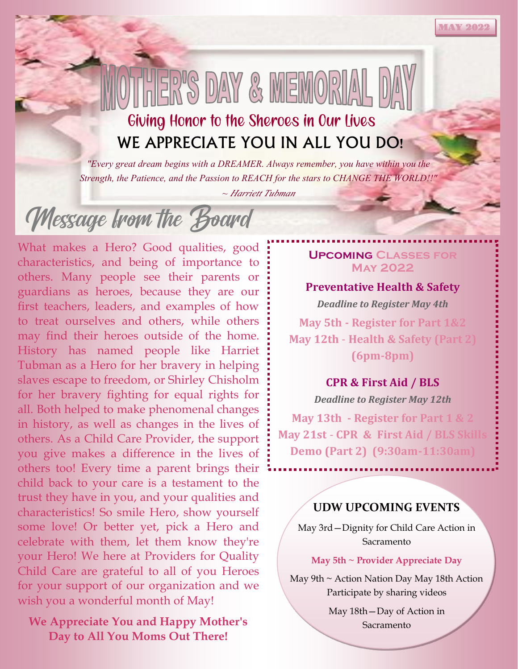# Giving Honor to the Sheroes in Our Lives WE APPRECIATE YOU IN ALL YOU DO!

HER'S DAY & MEMORIA

*"Every great dream begins with a DREAMER. Always remember, you have within you the Strength, the Patience, and the Passion to REACH for the stars to CHANGE THE WORLD!!"* 

*~ Harriett Tubman*

Message trom the Board

What makes a Hero? Good qualities, good characteristics, and being of importance to others. Many people see their parents or guardians as heroes, because they are our first teachers, leaders, and examples of how to treat ourselves and others, while others may find their heroes outside of the home. History has named people like Harriet Tubman as a Hero for her bravery in helping slaves escape to freedom, or Shirley Chisholm for her bravery fighting for equal rights for all. Both helped to make phenomenal changes in history, as well as changes in the lives of others. As a Child Care Provider, the support you give makes a difference in the lives of others too! Every time a parent brings their child back to your care is a testament to the trust they have in you, and your qualities and characteristics! So smile Hero, show yourself some love! Or better yet, pick a Hero and celebrate with them, let them know they're your Hero! We here at Providers for Quality Child Care are grateful to all of you Heroes for your support of our organization and we wish you a wonderful month of May!

# **We Appreciate You and Happy Mother's Day to All You Moms Out There!**

### **Upcoming Classes for May 2022**

**MAY 202** 

### **Preventative Health & Safety**

*Deadline to Register May 4th* **May 5th - Register for Part 1&2 May 12th** - **Health & Safety (Part 2) (6pm-8pm)**

# **CPR & First Aid / BLS**

*Deadline to Register May 12th*

**May 13th - Register for Part 1 & 2 May 21st** - **CPR & First Aid / BLS Skills Demo (Part 2) (9:30am-11:30am)**

# **UDW UPCOMING EVENTS**

May 3rd—Dignity for Child Care Action in Sacramento

#### **May 5th ~ Provider Appreciate Day**

May 9th ~ Action Nation Day May 18th Action Participate by sharing videos

> May 18th—Day of Action in Sacramento